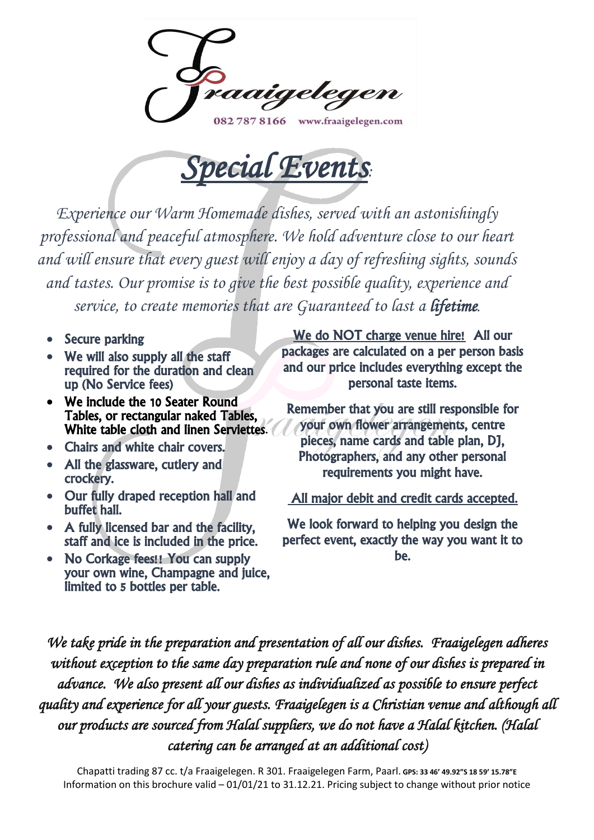082 787 8166 www.fraaigelegen.com



*Experience our Warm Homemade dishes, served with an astonishingly professional and peaceful atmosphere. We hold adventure close to our heart and will ensure that every guest will enjoy a day of refreshing sights, sounds and tastes. Our promise is to give the best possible quality, experience and service, to create memories that are Guaranteed to last a lifetime.*

- **Secure parking**
- We will also supply all the staff required for the duration and clean up (No Service fees)
- We include the 10 Seater Round Tables, or rectangular naked Tables, White table cloth and linen Serviettes.
- Chairs and white chair covers.
- All the glassware, cutlery and crockery.
- Our fully draped reception hall and buffet hall.
- A fully licensed bar and the facility, staff and ice is included in the price.
- No Corkage fees!! You can supply your own wine, Champagne and juice, limited to 5 bottles per table.

We do NOT charge venue hire! All our packages are calculated on a per person basis and our price includes everything except the personal taste items.

Remember that you are still responsible for your own flower arrangements, centre pieces, name cards and table plan, DJ, Photographers, and any other personal requirements you might have.

All major debit and credit cards accepted.

We look forward to helping you design the perfect event, exactly the way you want it to be.

*We take pride in the preparation and presentation of all our dishes. Fraaigelegen adheres without exception to the same day preparation rule and none of our dishes is prepared in advance. We also present all our dishes as individualized as possible to ensure perfect quality and experience for all your guests. Fraaigelegen is a Christian venue and although all our products are sourced from Halal suppliers, we do not have a Halal kitchen. (Halal catering can be arranged at an additional cost)*